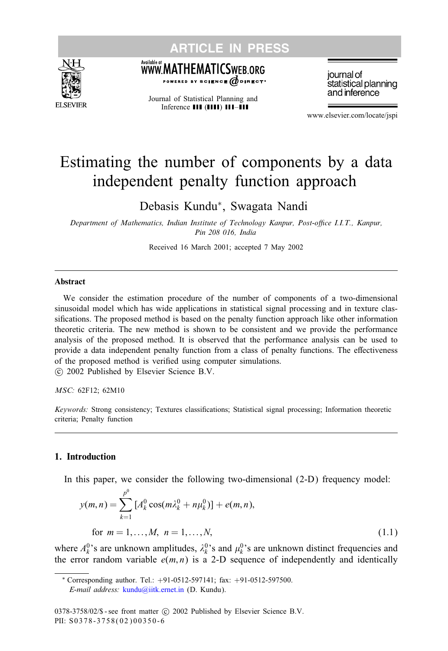<span id="page-0-0"></span>



#### .<br>Available at WWW.MATHEMATICSWEB.ORG BY SCIENCE @DIRECT\*

Journal of Statistical Planning and Inference **III** (IIII) **III-III** 

journal of statistical planning and inference

www.elsevier.com/locate/jspi

# Estimating the number of components by a data independent penalty function approach

Debasis Kundu∗, Swagata Nandi

*Department of Mathematics, Indian Institute of Technology Kanpur, Post-office I.I.T., Kanpur, Pin 208 016, India*

Received 16 March 2001; accepted 7 May 2002

#### Abstract

We consider the estimation procedure of the number of components of a two-dimensional sinusoidal model which has wide applications in statistical signal processing and in texture classifications. The proposed method is based on the penalty function approach like other information theoretic criteria. The new method is shown to be consistent and we provide the performance analysis of the proposed method. It is observed that the performance analysis can be used to provide a data independent penalty function from a class of penalty functions. The effectiveness of the proposed method is verified using computer simulations.

-c 2002 Published byElsevier Science B.V.

*MSC:* 62F12; 62M10

*Keywords:* Strong consistency; Textures classifications; Statistical signal processing; Information theoretic criteria; Penalty function

#### 1. Introduction

In this paper, we consider the following two-dimensional  $(2-D)$  frequency model:

$$
y(m,n) = \sum_{k=1}^{p^0} [A_k^0 \cos(m\lambda_k^0 + n\mu_k^0)] + e(m,n),
$$
  
for  $m = 1,..., M, n = 1,..., N,$  (1.1)

where  $A_k^0$ 's are unknown amplitudes,  $\lambda_k^0$ 's and  $\mu_k^0$ 's are unknown distinct frequencies and the error random variable  $e(m, n)$  is a 2-D sequence of independently and identically

<sup>∗</sup> Corresponding author. Tel.: +91-0512-597141; fax: +91-0512-597500. *E-mail address:* [kundu@iitk.ernet.in](mailto:kundu@iitk.ernet.in) (D. Kundu).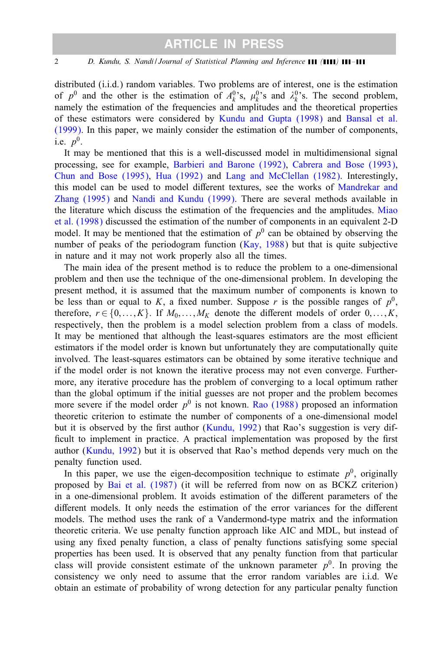distributed (i.i.d.) random variables. Two problems are of interest, one is the estimation of  $p^0$  and the other is the estimation of  $A_k^0$ 's,  $\mu_k^0$ 's and  $\lambda_k^0$ 's. The second problem, namely the estimation of the frequencies and amplitudes and the theoretical properties of these estimators were considered by [Kundu and Gupta \(1998\)](#page-12-0) and [Bansal et al.](#page-12-0) [\(1999\).](#page-12-0) In this paper, we mainlyconsider the estimation of the number of components, i.e.  $p^0$ .

It may be mentioned that this is a well-discussed model in multidimensional signal processing, see for example, [Barbieri and Barone \(1992\),](#page-12-0) [Cabrera and Bose \(1993\),](#page-12-0) [Chun and Bose \(1995\),](#page-12-0) [Hua \(1992\)](#page-12-0) and [Lang and McClellan \(1982\).](#page-13-0) Interestingly, this model can be used to model different textures, see the works of [Mandrekar and](#page-13-0) [Zhang \(1995\)](#page-13-0) and [Nandi and Kundu \(1999\).](#page-13-0) There are several methods available in the literature which discuss the estimation of the frequencies and the amplitudes. [Miao](#page-13-0) [et al. \(1998\)](#page-13-0) discussed the estimation of the number of components in an equivalent 2-D model. It may be mentioned that the estimation of  $p<sup>0</sup>$  can be obtained by observing the number of peaks of the periodogram function  $(Kay, 1988)$  but that is quite subjective in nature and it may not work properly also all the times.

The main idea of the present method is to reduce the problem to a one-dimensional problem and then use the technique of the one-dimensional problem. In developing the present method, it is assumed that the maximum number of components is known to be less than or equal to K, a fixed number. Suppose r is the possible ranges of  $p^0$ , therefore,  $r \in \{0, \ldots, K\}$ . If  $M_0, \ldots, M_K$  denote the different models of order  $0, \ldots, K$ , respectively, then the problem is a model selection problem from a class of models. It may be mentioned that although the least-squares estimators are the most efficient estimators if the model order is known but unfortunately they are computationally quite involved. The least-squares estimators can be obtained bysome iterative technique and if the model order is not known the iterative process maynot even converge. Furthermore, anyiterative procedure has the problem of converging to a local optimum rather than the global optimum if the initial guesses are not proper and the problem becomes more severe if the model order  $p^0$  is not known. [Rao \(1988\)](#page-13-0) proposed an information theoretic criterion to estimate the number of components of a one-dimensional model but it is observed by the first author [\(Kundu, 1992\)](#page-12-0) that Rao's suggestion is very difficult to implement in practice. A practical implementation was proposed by the first author [\(Kundu, 1992\)](#page-12-0) but it is observed that Rao's method depends verymuch on the penalty function used.

In this paper, we use the eigen-decomposition technique to estimate  $p<sup>0</sup>$ , originally proposed by [Bai et al. \(1987\)](#page-12-0) (it will be referred from now on as BCKZ criterion) in a one-dimensional problem. It avoids estimation of the different parameters of the different models. It only needs the estimation of the error variances for the different models. The method uses the rank of a Vandermond-type matrix and the information theoretic criteria. We use penalty function approach like AIC and MDL, but instead of using any fixed penalty function, a class of penalty functions satisfying some special properties has been used. It is observed that any penalty function from that particular class will provide consistent estimate of the unknown parameter  $p^0$ . In proving the consistencywe onlyneed to assume that the error random variables are i.i.d. We obtain an estimate of probability of wrong detection for any particular penalty function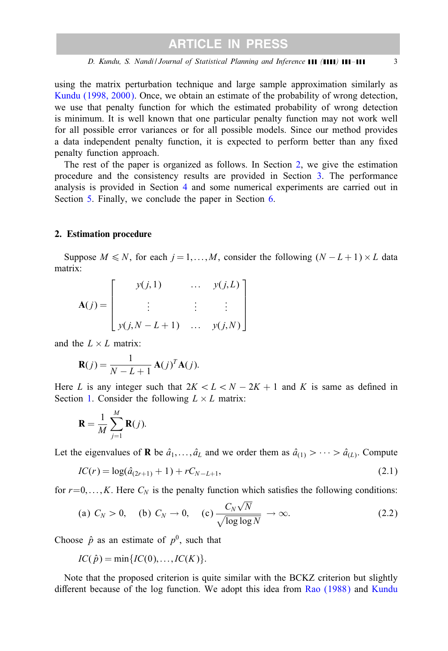<span id="page-2-0"></span>using the matrix perturbation technique and large sample approximation similarlyas [Kundu \(1998, 2000\).](#page-12-0) Once, we obtain an estimate of the probabilityof wrong detection, we use that penalty function for which the estimated probability of wrong detection is minimum. It is well known that one particular penalty function may not work well for all possible error variances or for all possible models. Since our method provides a data independent penalty function, it is expected to perform better than any fixed penalty function approach.

The rest of the paper is organized as follows. In Section 2, we give the estimation procedure and the consistency results are provided in Section  $3$ . The performance analysis is provided in Section [4](#page-6-0) and some numerical experiments are carried out in Section [5.](#page-8-0) Finally, we conclude the paper in Section [6.](#page-11-0)

#### 2. Estimation procedure

Suppose  $M \le N$ , for each  $j = 1,...,M$ , consider the following  $(N - L + 1) \times L$  data matrix:

$$
\mathbf{A}(j) = \begin{bmatrix} y(j,1) & \dots & y(j,L) \\ \vdots & \vdots & \vdots \\ y(j,N-L+1) & \dots & y(j,N) \end{bmatrix}
$$

and the  $L \times L$  matrix:

$$
\mathbf{R}(j) = \frac{1}{N - L + 1} \mathbf{A}(j)^{T} \mathbf{A}(j).
$$

Here L is any integer such that  $2K < L < N - 2K + 1$  and K is same as defined in Section [1.](#page-0-0) Consider the following  $L \times L$  matrix:

$$
\mathbf{R} = \frac{1}{M} \sum_{j=1}^{M} \mathbf{R}(j).
$$

Let the eigenvalues of **R** be  $\hat{a}_1, \dots, \hat{a}_L$  and we order them as  $\hat{a}_{(1)} > \dots > \hat{a}_{(L)}$ . Compute

$$
IC(r) = \log(\hat{a}_{(2r+1)} + 1) + rC_{N-L+1},
$$
\n(2.1)

for  $r=0,\ldots,K$ . Here  $C_N$  is the penalty function which satisfies the following conditions:

(a) 
$$
C_N > 0
$$
, (b)  $C_N \to 0$ , (c)  $\frac{C_N \sqrt{N}}{\sqrt{\log \log N}} \to \infty$ . (2.2)

Choose  $\hat{p}$  as an estimate of  $p^0$ , such that

$$
IC(\hat{p}) = \min\{IC(0), \ldots, IC(K)\}.
$$

Note that the proposed criterion is quite similar with the BCKZ criterion but slightly different because of the log function. We adopt this idea from [Rao \(1988\)](#page-13-0) and [Kundu](#page-12-0)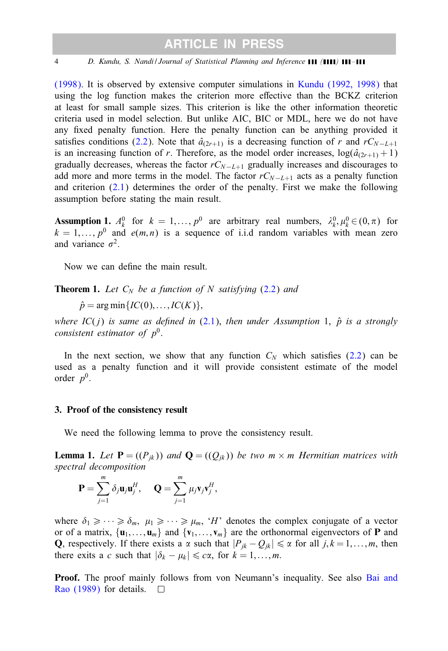<span id="page-3-0"></span>[\(1998\).](#page-12-0) It is observed by extensive computer simulations in [Kundu \(1992, 1998\)](#page-12-0) that using the log function makes the criterion more effective than the BCKZ criterion at least for small sample sizes. This criterion is like the other information theoretic criteria used in model selection. But unlike AIC, BIC or MDL, here we do not have any fixed penalty function. Here the penalty function can be anything provided it satisfies conditions [\(2.2\)](#page-2-0). Note that  $â_{(2r+1)}$  is a decreasing function of r and rC<sub>N−L+1</sub> is an increasing function of r. Therefore, as the model order increases,  $log(\hat{a}_{2r+1} + 1)$ gradually decreases, whereas the factor  $rC_{N-L+1}$  gradually increases and discourages to add more and more terms in the model. The factor  $rC_{N-L+1}$  acts as a penalty function and criterion  $(2.1)$  determines the order of the penalty. First we make the following assumption before stating the main result.

**Assumption 1.**  $A_k^0$  for  $k = 1, ..., p^0$  are arbitrary real numbers,  $\lambda_k^0, \mu_k^0 \in (0, \pi)$  for  $k = 1, \ldots, p^0$  and  $e(m, n)$  is a sequence of i.i.d random variables with mean zero and variance  $\sigma^2$ .

Now we can define the main result.

**Theorem 1.** Let  $C_N$  be a function of N satisfying  $(2.2)$  and

 $\hat{p}$  = arg min $\{IC(0), \ldots, IC(K)\},\$ 

*where*  $IC(j)$  *is same as defined in* [\(2.1\)](#page-2-0), *then under Assumption* 1,  $\hat{p}$  *is a strongly consistent estimator of*  $p^0$ .

In the next section, we show that any function  $C<sub>N</sub>$  which satisfies [\(2.2\)](#page-2-0) can be used as a penalty function and it will provide consistent estimate of the model order  $p^0$ .

#### 3. Proof of the consistency result

We need the following lemma to prove the consistency result.

**Lemma 1.** Let  $P = ((P_{jk}))$  and  $Q = ((Q_{jk}))$  be two  $m \times m$  *Hermitian matrices with spectral decomposition*

$$
\mathbf{P} = \sum_{j=1}^m \delta_j \mathbf{u}_j \mathbf{u}_j^H, \quad \mathbf{Q} = \sum_{j=1}^m \mu_j \mathbf{v}_j \mathbf{v}_j^H,
$$

where  $\delta_1 \geq \cdots \geq \delta_m$ ,  $\mu_1 \geq \cdots \geq \mu_m$ , 'H' denotes the complex conjugate of a vector or of a matrix,  $\{u_1,\ldots,u_m\}$  and  $\{v_1,\ldots,v_m\}$  are the orthonormal eigenvectors of **P** and Q, respectively. If there exists a  $\alpha$  such that  $|P_{jk} - Q_{jk}| \le \alpha$  for all  $j, k = 1,...,m$ , then there exits a c such that  $|\delta_k - \mu_k| \le c\alpha$ , for  $k = 1, \ldots, m$ .

**Proof.** The proof mainly follows from von Neumann's inequality. See also [Bai and](#page-12-0) [Rao \(1989\)](#page-12-0) for details.  $\Box$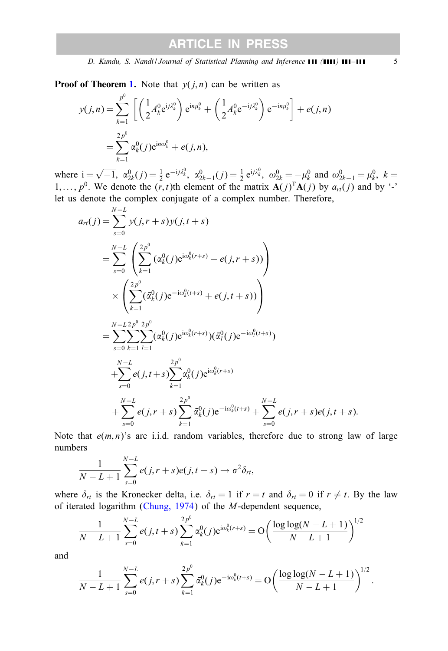**Proof of Theorem [1.](#page-3-0)** Note that  $y(j, n)$  can be written as

$$
y(j,n) = \sum_{k=1}^{p^0} \left[ \left( \frac{1}{2} A_k^0 e^{ij\lambda_k^0} \right) e^{in\mu_k^0} + \left( \frac{1}{2} A_k^0 e^{-ij\lambda_k^0} \right) e^{-in\mu_k^0} \right] + e(j,n)
$$
  
= 
$$
\sum_{k=1}^{2p^0} \alpha_k^0(j) e^{in\omega_k^0} + e(j,n),
$$

where  $i = \sqrt{-1}$ ,  $\alpha_{2k}^{0}(j) = \frac{1}{2} e^{-ij\lambda_k^0}$ ,  $\alpha_{2k-1}^{0}(j) = \frac{1}{2} e^{ij\lambda_k^0}$ ,  $\omega_{2k}^{0} = -\mu_k^0$  and  $\omega_{2k-1}^{0} = \mu_k^0$ ,  $k =$ 1,...,  $p^0$ . We denote the  $(r, t)$ th element of the matrix  $\mathbf{A}(j)^T \mathbf{A}(j)$  by  $a_{rt}(j)$  and by '-' let us denote the complex conjugate of a complex number. Therefore,

$$
a_{rt}(j) = \sum_{s=0}^{N-L} y(j, r+s) y(j, t+s)
$$
  
\n
$$
= \sum_{s=0}^{N-L} \left( \sum_{k=1}^{2p^0} (\alpha_k^0(j) e^{i\omega_k^0(r+s)} + e(j, r+s)) \right)
$$
  
\n
$$
\times \left( \sum_{k=1}^{2p^0} (\bar{\alpha}_k^0(j) e^{-i\omega_k^0(t+s)} + e(j, t+s)) \right)
$$
  
\n
$$
= \sum_{s=0}^{N-L} \sum_{k=1}^{2p^0} \sum_{l=1}^{2p^0} (\alpha_k^0(j) e^{i\omega_k^0(r+s)}) (\bar{\alpha}_l^0(j) e^{-i\omega_l^0(t+s)})
$$
  
\n
$$
+ \sum_{s=0}^{N-L} e(j, t+s) \sum_{k=1}^{2p^0} \alpha_k^0(j) e^{i\omega_k^0(r+s)}
$$
  
\n
$$
+ \sum_{s=0}^{N-L} e(j, r+s) \sum_{k=1}^{2p^0} \bar{\alpha}_k^0(j) e^{-i\omega_k^0(t+s)} + \sum_{s=0}^{N-L} e(j, r+s) e(j, t+s).
$$

Note that  $e(m, n)$ 's are i.i.d. random variables, therefore due to strong law of large numbers

$$
\frac{1}{N-L+1}\sum_{s=0}^{N-L}e(j,r+s)e(j,t+s)\rightarrow \sigma^2\delta_{rt},
$$

where  $\delta_{rt}$  is the Kronecker delta, i.e.  $\delta_{rt} = 1$  if  $r = t$  and  $\delta_{rt} = 0$  if  $r \neq t$ . By the law of iterated logarithm [\(Chung, 1974\)](#page-12-0) of the M-dependent sequence,

$$
\frac{1}{N-L+1} \sum_{s=0}^{N-L} e(j, t+s) \sum_{k=1}^{2p^0} \alpha_k^0(j) e^{i\omega_k^0(r+s)} = O\left(\frac{\log \log(N-L+1)}{N-L+1}\right)^{1/2}
$$

and

$$
\frac{1}{N-L+1} \sum_{s=0}^{N-L} e(j,r+s) \sum_{k=1}^{2p^0} \bar{\alpha}_k^0(j) e^{-i\omega_k^0(t+s)} = O\left(\frac{\log \log (N-L+1)}{N-L+1}\right)^{1/2}.
$$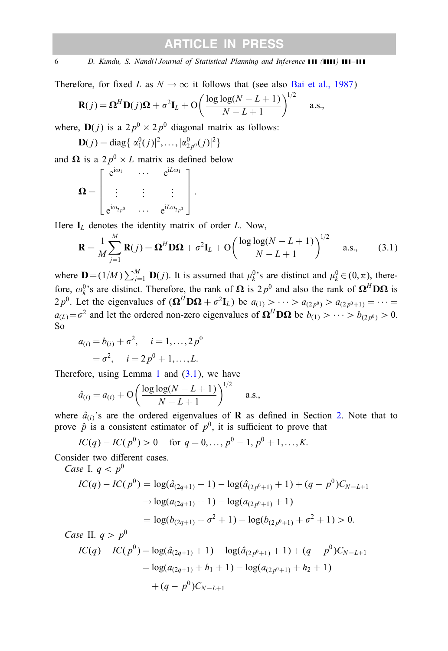<span id="page-5-0"></span>6 *D. Kundu, S. Nandi / Journal of Statistical Planning and Inference ( ) –*

Therefore, for fixed L as  $N \to \infty$  it follows that (see also [Bai et al., 1987\)](#page-12-0)

$$
\mathbf{R}(j) = \mathbf{\Omega}^H \mathbf{D}(j) \mathbf{\Omega} + \sigma^2 \mathbf{I}_L + \mathbf{O} \left( \frac{\log \log (N - L + 1)}{N - L + 1} \right)^{1/2} \quad \text{a.s.,}
$$

where,  $\mathbf{D}(i)$  is a  $2p^0 \times 2p^0$  diagonal matrix as follows:

$$
\mathbf{D}(j) = \text{diag}\{|\alpha_1^0(j)|^2,\ldots,|\alpha_{2p^0}^0(j)|^2\}
$$

and  $\Omega$  is a  $2p^0 \times L$  matrix as defined below

$$
\mathbf{\Omega} = \begin{bmatrix} e^{i\omega_1} & \cdots & e^{iL\omega_1} \\ \vdots & \vdots & \vdots \\ e^{i\omega_{2p^0}} & \cdots & e^{iL\omega_{2p^0}} \end{bmatrix}.
$$

Here  $I_L$  denotes the identity matrix of order L. Now,

$$
\mathbf{R} = \frac{1}{M} \sum_{j=1}^{M} \mathbf{R}(j) = \mathbf{\Omega}^{H} \mathbf{D} \mathbf{\Omega} + \sigma^{2} \mathbf{I}_{L} + \mathbf{O} \left( \frac{\log \log (N - L + 1)}{N - L + 1} \right)^{1/2} \quad \text{a.s.,}
$$
 (3.1)

where  $\mathbf{D} = (1/M) \sum_{j=1}^{M} \mathbf{D}(j)$ . It is assumed that  $\mu_k^0$ 's are distinct and  $\mu_k^0 \in (0, \pi)$ , therefore,  $\omega_k^0$ 's are distinct. Therefore, the rank of  $\Omega$  is  $2p^0$  and also the rank of  $\Omega^H \text{D}\Omega$  is  $2p^0$ . Let the eigenvalues of  $({\bf \Omega}^H {\bf D} {\bf \Omega} + \sigma^2 {\bf I}_L)$  be  $a_{(1)} > \cdots > a_{(2p^0)} > a_{(2p^0+1)} = \cdots =$  $a_{(L)} = \sigma^2$  and let the ordered non-zero eigenvalues of  $\Omega^H \text{D}\Omega$  be  $b_{(1)} > \cdots > b_{(2n^0)} > 0$ . So

$$
a_{(i)} = b_{(i)} + \sigma^2, \quad i = 1, ..., 2p^0
$$
  
=  $\sigma^2$ ,  $i = 2p^0 + 1, ..., L$ .

Therefore, using Lemma [1](#page-3-0) and  $(3.1)$ , we have

$$
\hat{a}_{(i)} = a_{(i)} + O\left(\frac{\log \log(N - L + 1)}{N - L + 1}\right)^{1/2}
$$
 a.s.,

where  $\hat{a}_{(i)}$ 's are the ordered eigenvalues of **R** as defined in Section [2.](#page-2-0) Note that to prove  $\hat{p}$  is a consistent estimator of  $p^0$ , it is sufficient to prove that

$$
IC(q) - IC(p0) > 0 \quad \text{for } q = 0, ..., p0 - 1, p0 + 1, ..., K.
$$

Consider two different cases.

Case I. 
$$
q < p^0
$$
  
\n
$$
IC(q) - IC(p^0) = \log(\hat{a}_{(2q+1)} + 1) - \log(\hat{a}_{(2p^0+1)} + 1) + (q - p^0)C_{N-L+1}
$$
\n
$$
\rightarrow \log(a_{(2q+1)} + 1) - \log(a_{(2p^0+1)} + 1)
$$
\n
$$
= \log(b_{(2q+1)} + \sigma^2 + 1) - \log(b_{(2p^0+1)} + \sigma^2 + 1) > 0.
$$
\nCase II.  $a > p^0$ 

*Case* II.  $q > p$ 

$$
IC(q) - IC(p0) = log(\hat{a}_{(2q+1)} + 1) - log(\hat{a}_{(2p^{0}+1)} + 1) + (q - p0)C_{N-L+1}
$$
  
= log(a\_{(2q+1)} + h<sub>1</sub> + 1) - log(a\_{(2p^{0}+1)} + h<sub>2</sub> + 1)  
+ (q - p<sup>0</sup>)C\_{N-L+1}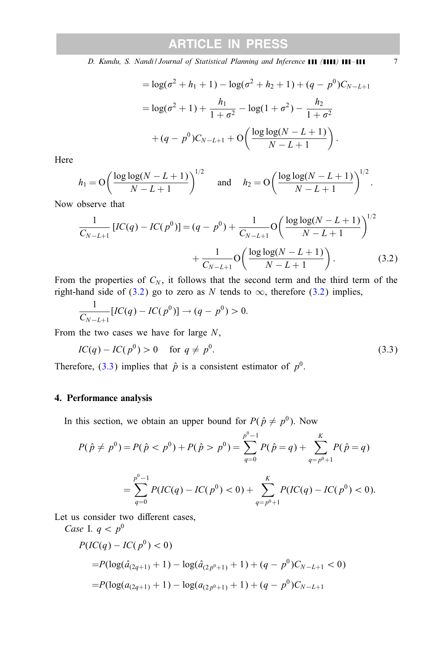<span id="page-6-0"></span>*D. Kundu, S. Nandi / Journal of Statistical Planning and Inference* **111 (1111) 111-111** 7

$$
= \log(\sigma^2 + h_1 + 1) - \log(\sigma^2 + h_2 + 1) + (q - p^0)C_{N-L+1}
$$

$$
= \log(\sigma^2 + 1) + \frac{h_1}{1 + \sigma^2} - \log(1 + \sigma^2) - \frac{h_2}{1 + \sigma^2}
$$

$$
+ (q - p^0)C_{N-L+1} + O\left(\frac{\log \log(N - L + 1)}{N - L + 1}\right).
$$

Here

$$
h_1 = O\left(\frac{\log \log(N-L+1)}{N-L+1}\right)^{1/2}
$$
 and  $h_2 = O\left(\frac{\log \log(N-L+1)}{N-L+1}\right)^{1/2}$ .

Now observe that

$$
\frac{1}{C_{N-L+1}} \left[ IC(q) - IC(p^0) \right] = (q - p^0) + \frac{1}{C_{N-L+1}} \mathcal{O}\left(\frac{\log \log(N-L+1)}{N-L+1}\right)^{1/2} + \frac{1}{C_{N-L+1}} \mathcal{O}\left(\frac{\log \log(N-L+1)}{N-L+1}\right). \tag{3.2}
$$

From the properties of  $C_N$ , it follows that the second term and the third term of the right-hand side of (3.2) go to zero as N tends to  $\infty$ , therefore (3.2) implies,

$$
\frac{1}{C_{N-L+1}}[IC(q) - IC(p^0)] \to (q - p^0) > 0.
$$

From the two cases we have for large  $N$ ,

$$
IC(q) - IC(p0) > 0 \quad \text{for } q \neq p0.
$$
 (3.3)

Therefore, (3.3) implies that  $\hat{p}$  is a consistent estimator of  $p^0$ .

#### 4. Performance analysis

In this section, we obtain an upper bound for  $P(\hat{p} \neq p^0)$ . Now

$$
P(\hat{p} \neq p^0) = P(\hat{p} < p^0) + P(\hat{p} > p^0) = \sum_{q=0}^{p^0-1} P(\hat{p} = q) + \sum_{q=p^0+1}^{K} P(\hat{p} = q)
$$
\n
$$
= \sum_{q=0}^{p^0-1} P(IC(q) - IC(p^0) < 0) + \sum_{q=p^0+1}^{K} P(IC(q) - IC(p^0) < 0).
$$

Let us consider two different cases, *Case* I.  $a < p^0$ 

$$
P(IC(q) - IC(p^{0}) < 0)
$$
  
= $P(\log(\hat{a}_{2q+1)} + 1) - \log(\hat{a}_{2p^{0}+1)} + 1) + (q - p^{0})C_{N-L+1} < 0)$   
= $P(\log(a_{(2q+1)} + 1) - \log(a_{(2p^{0}+1)} + 1) + (q - p^{0})C_{N-L+1}$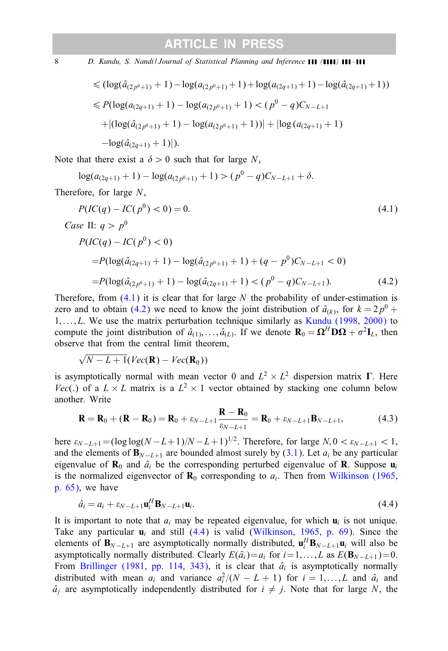<span id="page-7-0"></span>8 *D. Kundu, S. Nandi | Journal of Statistical Planning and Inference* **(11 /** *111* **111** - **111** 

$$
\leq (\log(\hat{a}_{(2p^0+1)}+1) - \log(a_{(2p^0+1)}+1) + \log(a_{(2q+1)}+1) - \log(\hat{a}_{(2q+1)}+1))
$$
  
\n
$$
\leq P(\log(a_{(2q+1)}+1) - \log(a_{(2p^0+1)}+1) < (p^0-q)C_{N-L+1}
$$
  
\n
$$
+ |(\log(\hat{a}_{(2p^0+1)}+1) - \log(a_{(2p^0+1)}+1))| + |\log(a_{(2q+1)}+1)|
$$
  
\n
$$
- \log(\hat{a}_{(2q+1)}+1)|).
$$

Note that there exist a  $\delta > 0$  such that for large N,

$$
\log(a_{(2q+1)}+1) - \log(a_{(2p^0+1)}+1) > (p^0-q)C_{N-L+1} + \delta.
$$

Therefore, for large N,

$$
P(IC(q) - IC(p^{0}) < 0) = 0. \tag{4.1}
$$
\n
$$
Case \text{ II: } q > p^{0}
$$
\n
$$
P(IC(q) - IC(p^{0}) < 0)
$$
\n
$$
= P(\log(\hat{a}_{(2q+1)} + 1) - \log(\hat{a}_{(2p^{0}+1)} + 1) + (q - p^{0})C_{N-L+1} < 0)
$$
\n
$$
= P(\log(\hat{a}_{(2p^{0}+1)} + 1) - \log(\hat{a}_{(2q+1)} + 1) < (p^{0} - q)C_{N-L+1}). \tag{4.2}
$$

Therefore, from  $(4.1)$  it is clear that for large N the probability of under-estimation is zero and to obtain (4.2) we need to know the joint distribution of  $\hat{a}_{(k)}$ , for  $k = 2p^0 +$  $1, \ldots, L$ . We use the matrix perturbation technique similarly as [Kundu \(1998, 2000\)](#page-12-0) to compute the joint distribution of  $\hat{a}_{(1)},\ldots,\hat{a}_{(L)}$ . If we denote  $\mathbf{R}_0 = \mathbf{\Omega}^H \mathbf{D} \mathbf{\Omega} + \sigma^2 \mathbf{I}_L$ , then observe that from the central limit theorem,

√  $N - L + 1(Vec(\mathbf{R}) - Vec(\mathbf{R}_0))$ 

is asymptotically normal with mean vector 0 and  $L^2 \times L^2$  dispersion matrix  $\Gamma$ . Here Vec(.) of a  $L \times L$  matrix is a  $L^2 \times 1$  vector obtained by stacking one column below another. Write

$$
\mathbf{R} = \mathbf{R}_0 + (\mathbf{R} - \mathbf{R}_0) = \mathbf{R}_0 + \varepsilon_{N-L+1} \frac{\mathbf{R} - \mathbf{R}_0}{\varepsilon_{N-L+1}} = \mathbf{R}_0 + \varepsilon_{N-L+1} \mathbf{B}_{N-L+1},
$$
(4.3)

here  $\varepsilon_{N-L+1} = (\log \log(N-L+1)/N - L+1)^{1/2}$ . Therefore, for large  $N, 0 < \varepsilon_{N-L+1} < 1$ , and the elements of  $\mathbf{B}_{N-L+1}$  are bounded almost surely by [\(3.1\)](#page-5-0). Let  $a_i$  be any particular eigenvalue of  $\mathbf{R}_0$  and  $\hat{a}_i$  be the corresponding perturbed eigenvalue of **R**. Suppose  $\mathbf{u}_i$ is the normalized eigenvector of  $\mathbf{R}_0$  corresponding to  $a_i$ . Then from [Wilkinson \(1965,](#page-13-0) [p. 65\),](#page-13-0) we have

$$
\hat{a}_i = a_i + \varepsilon_{N-L+1} \mathbf{u}_i^H \mathbf{B}_{N-L+1} \mathbf{u}_i.
$$
\n(4.4)

It is important to note that  $a_i$  may be repeated eigenvalue, for which  $\mathbf{u}_i$  is not unique. Take any particular  $\mathbf{u}_i$  and still (4.4) is valid [\(Wilkinson, 1965, p. 69\)](#page-13-0). Since the elements of  $\mathbf{B}_{N-L+1}$  are asymptotically normally distributed,  $\mathbf{u}_i^H \mathbf{B}_{N-L+1} \mathbf{u}_i$  will also be asymptotically normally distributed. Clearly  $E(\hat{a}_i)=a_i$  for  $i=1,\ldots,L$  as  $E(\mathbf{B}_{N-L+1})=0$ . From [Brillinger \(1981, pp. 114, 343\),](#page-12-0) it is clear that  $\hat{a}_i$  is asymptotically normally distributed with mean  $a_i$  and variance  $a_i^2/(N - L + 1)$  for  $i = 1,...,L$  and  $\hat{a}_i$  and  $\hat{a}_i$  are asymptotically independently distributed for  $i \neq j$ . Note that for large N, the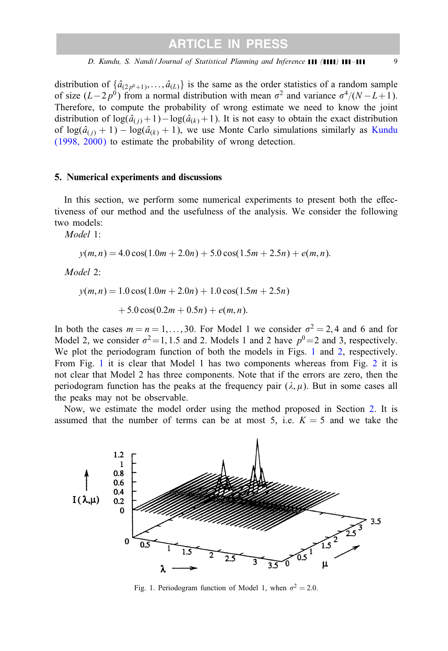<span id="page-8-0"></span>distribution of  $\{\hat{a}_{(2p^0+1)},...,\hat{a}_{(L)}\}$  is the same as the order statistics of a random sample of size  $(L-2p^0)$  from a normal distribution with mean  $\sigma^2$  and variance  $\sigma^4/(N-L+1)$ . Therefore, to compute the probabilityof wrong estimate we need to know the joint distribution of  $\log(\hat{a}_{(i)}+1)-\log(\hat{a}_{(k)}+1)$ . It is not easy to obtain the exact distribution of  $log(\hat{a}_{(i)} + 1) - log(\hat{a}_{(k)} + 1)$ , we use Monte Carlo simulations similarly as [Kundu](#page-12-0)  $(1998, 2000)$  to estimate the probability of wrong detection.

#### 5. Numerical experiments and discussions

In this section, we perform some numerical experiments to present both the effectiveness of our method and the usefulness of the analysis. We consider the following two models:

*Model* 1:

$$
y(m, n) = 4.0 \cos(1.0m + 2.0n) + 5.0 \cos(1.5m + 2.5n) + e(m, n).
$$

*Model* 2:

 $y(m, n) = 1.0 \cos(1.0m + 2.0n) + 1.0 \cos(1.5m + 2.5n)$  $+ 5.0 \cos(0.2m + 0.5n) + e(m, n).$ 

In both the cases  $m = n = 1,...,30$ . For Model 1 we consider  $\sigma^2 = 2,4$  and 6 and for Model 2, we consider  $\sigma^2 = 1, 1.5$  and 2. Models 1 and 2 have  $p^0 = 2$  and 3, respectively. We plot the periodogram function of both the models in Figs. 1 and [2,](#page-9-0) respectively. From Fig. 1 it is clear that Model 1 has two components whereas from Fig. [2](#page-9-0) it is not clear that Model 2 has three components. Note that if the errors are zero, then the periodogram function has the peaks at the frequency pair  $(\lambda, \mu)$ . But in some cases all the peaks may not be observable.

Now, we estimate the model order using the method proposed in Section [2.](#page-2-0) It is assumed that the number of terms can be at most 5, i.e.  $K = 5$  and we take the



Fig. 1. Periodogram function of Model 1, when  $\sigma^2 = 2.0$ .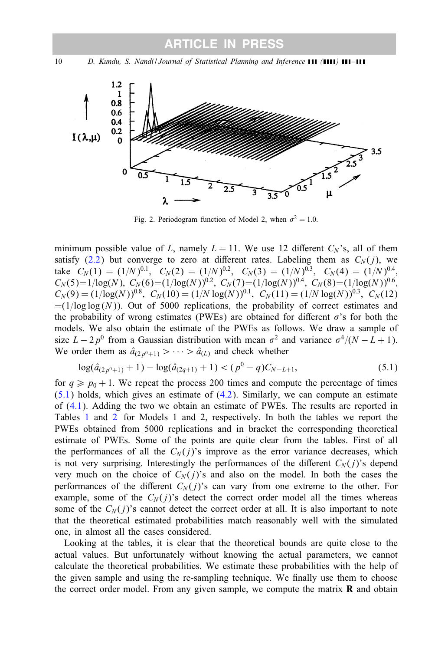<span id="page-9-0"></span>10 *D. Kundu, S. Nandi / Journal of Statistical Planning and Inference* **(11 / 111 / 111 / 111** 



Fig. 2. Periodogram function of Model 2, when  $\sigma^2 = 1.0$ .

minimum possible value of L, namely  $L = 11$ . We use 12 different  $C_N$ 's, all of them satisfy [\(2.2\)](#page-2-0) but converge to zero at different rates. Labeling them as  $C_N(j)$ , we take  $C_N(1) = (1/N)^{0.1}$ ,  $C_N(2) = (1/N)^{0.2}$ ,  $C_N(3) = (1/N)^{0.3}$ ,  $C_N(4) = (1/N)^{0.4}$ ,  $C_N(5)=1/\log(N),\ C_N(6)=(1/\log(N))^{0.2},\ C_N(7)=(1/\log(N))^{0.4},\ C_N(8)=(1/\log(N))^{0.6},$  $C_N(9) = (1/\log(N))^{0.8}; C_N(10) = (1/N \log(N))^{0.1}; C_N(11) = (1/N \log(N))^{0.3}; C_N(12)$  $=(1/\log \log (N))$ . Out of 5000 replications, the probability of correct estimates and the probability of wrong estimates (PWEs) are obtained for different  $\sigma$ 's for both the models. We also obtain the estimate of the PWEs as follows. We draw a sample of size  $L - 2p^0$  from a Gaussian distribution with mean  $\sigma^2$  and variance  $\sigma^4/(N - L + 1)$ . We order them as  $\hat{a}_{(2p^0+1)} > \cdots > \hat{a}_{(L)}$  and check whether

$$
\log(\hat{a}_{(2p^0+1)}+1) - \log(\hat{a}_{(2q+1)}+1) < (p^0-q)C_{N-L+1},\tag{5.1}
$$

for  $q \geq p_0 + 1$ . We repeat the process 200 times and compute the percentage of times  $(5.1)$  holds, which gives an estimate of  $(4.2)$ . Similarly, we can compute an estimate of [\(4.1\)](#page-7-0). Adding the two we obtain an estimate of PWEs. The results are reported in Tables [1](#page-10-0) and [2](#page-10-0) for Models 1 and 2, respectively. In both the tables we report the PWEs obtained from 5000 replications and in bracket the corresponding theoretical estimate of PWEs. Some of the points are quite clear from the tables. First of all the performances of all the  $C_N(j)$ 's improve as the error variance decreases, which is not very surprising. Interestingly the performances of the different  $C_N(j)$ 's depend very much on the choice of  $C_N(j)$ 's and also on the model. In both the cases the performances of the different  $C_N(j)$ 's can vary from one extreme to the other. For example, some of the  $C_N(j)$ 's detect the correct order model all the times whereas some of the  $C_N(i)$ 's cannot detect the correct order at all. It is also important to note that the theoretical estimated probabilities match reasonablywell with the simulated one, in almost all the cases considered.

Looking at the tables, it is clear that the theoretical bounds are quite close to the actual values. But unfortunately without knowing the actual parameters, we cannot calculate the theoretical probabilities. We estimate these probabilities with the help of the given sample and using the re-sampling technique. We finally use them to choose the correct order model. From any given sample, we compute the matrix  **and obtain**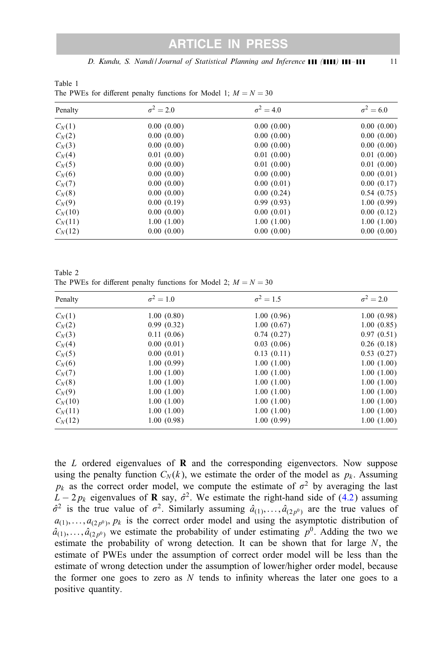*D. Kundu, S. Nandi / Journal of Statistical Planning and Inference ( ) –* 11

Penalty  $\sigma^2 = 2.0$   $\sigma^2 = 4.0$   $\sigma^2 = 6.0$  $C_N(1)$  0.00 (0.00) 0.00 (0.00) 0.00 (0.00) 0.00 (0.00)  $C_N(2)$  0.00 (0.00) 0.00 (0.00) 0.00 (0.00) 0.00 (0.00)  $C_N(3)$  0.00 (0.00) 0.00 (0.00) 0.00 (0.00) 0.00 (0.00)  $C_N(4)$  0.01 (0.00) 0.01 (0.00) 0.01 (0.00) 0.01 (0.00)  $C_N(5)$  0.00 (0.00) 0.01 (0.00) 0.01 (0.00) 0.01 (0.00)  $C_N(6)$  0.00 (0.00) 0.00 (0.00) 0.00 (0.00) 0.00 (0.01)  $C_N(7)$  0.00 (0.00) 0.00 (0.01) 0.00 (0.17)  $C_N(8)$  0.00 (0.00) 0.00 (0.24) 0.54 (0.75)  $C_N(9)$  0.00 (0.19) 0.99 (0.93) 1.00 (0.99)  $C_N(10)$  0.00 (0.00) 0.00 (0.00) 0.00 (0.01) 0.00 (0.12)  $C_N(11)$  1.00 (1.00) 1.00 (1.00) 1.00 (1.00) 1.00 (1.00)  $C_N(12)$  0.00 (0.00) 0.00 (0.00) 0.00 (0.00) 0.00 (0.00)

<span id="page-10-0"></span>Table 1 The PWEs for different penalty functions for Model 1;  $M = N = 30$ 

Table 2 The PWEs for different penalty functions for Model 2;  $M = N = 30$ 

| Penalty   | $\sigma^2 = 1.0$ | $\sigma^2 = 1.5$ | $\sigma^2 = 2.0$ |
|-----------|------------------|------------------|------------------|
| $C_N(1)$  | 1.00(0.80)       | 1.00(0.96)       | 1.00(0.98)       |
| $C_N(2)$  | 0.99(0.32)       | 1.00(0.67)       | 1.00(0.85)       |
| $C_N(3)$  | 0.11(0.06)       | 0.74(0.27)       | 0.97(0.51)       |
| $C_N(4)$  | 0.00(0.01)       | 0.03(0.06)       | 0.26(0.18)       |
| $C_N(5)$  | 0.00(0.01)       | 0.13(0.11)       | 0.53(0.27)       |
| $C_N(6)$  | 1.00(0.99)       | 1.00(1.00)       | 1.00(1.00)       |
| $C_N(7)$  | 1.00(1.00)       | 1.00(1.00)       | 1.00(1.00)       |
| $C_N(8)$  | 1.00(1.00)       | 1.00(1.00)       | 1.00(1.00)       |
| $C_N(9)$  | 1.00(1.00)       | 1.00(1.00)       | 1.00(1.00)       |
| $C_N(10)$ | 1.00(1.00)       | 1.00(1.00)       | 1.00(1.00)       |
| $C_N(11)$ | 1.00(1.00)       | 1.00(1.00)       | 1.00(1.00)       |
| $C_N(12)$ | 1.00(0.98)       | 1.00(0.99)       | 1.00(1.00)       |

the  $L$  ordered eigenvalues of  $\bf{R}$  and the corresponding eigenvectors. Now suppose using the penalty function  $C_N(k)$ , we estimate the order of the model as  $p_k$ . Assuming  $p_k$  as the correct order model, we compute the estimate of  $\sigma^2$  by averaging the last  $L - 2p_k$  eigenvalues of **R** say,  $\hat{\sigma}^2$ . We estimate the right-hand side of [\(4.2\)](#page-7-0) assuming  $\hat{\sigma}^2$  is the true value of  $\sigma^2$ . Similarly assuming  $\hat{a}_{(1)},\dots,\hat{a}_{(2p^0)}$  are the true values of  $a_{(1)},...,a_{(2p^0)}, p_k$  is the correct order model and using the asymptotic distribution of  $\hat{a}_{(1)},\ldots,\hat{a}_{(2p^0)}$  we estimate the probability of under estimating  $p^0$ . Adding the two we estimate the probability of wrong detection. It can be shown that for large  $N$ , the estimate of PWEs under the assumption of correct order model will be less than the estimate of wrong detection under the assumption of lower/higher order model, because the former one goes to zero as  $N$  tends to infinity whereas the later one goes to a positive quantity.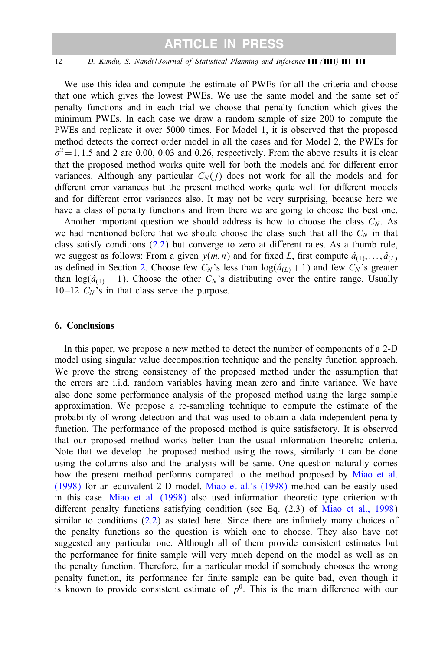#### <span id="page-11-0"></span>12 *D. Kundu, S. Nandi / Journal of Statistical Planning and Inference* **(11 / 111 / 111 / 111**

We use this idea and compute the estimate of PWEs for all the criteria and choose that one which gives the lowest PWEs. We use the same model and the same set of penalty functions and in each trial we choose that penalty function which gives the minimum PWEs. In each case we draw a random sample of size 200 to compute the PWEs and replicate it over 5000 times. For Model 1, it is observed that the proposed method detects the correct order model in all the cases and for Model 2, the PWEs for  $\sigma^2 = 1, 1.5$  and 2 are 0.00, 0.03 and 0.26, respectively. From the above results it is clear that the proposed method works quite well for both the models and for different error variances. Although any particular  $C_N(i)$  does not work for all the models and for different error variances but the present method works quite well for different models and for different error variances also. It may not be very surprising, because here we have a class of penalty functions and from there we are going to choose the best one.

Another important question we should address is how to choose the class  $C_N$ . As we had mentioned before that we should choose the class such that all the  $C<sub>N</sub>$  in that class satisfy conditions  $(2.2)$  but converge to zero at different rates. As a thumb rule, we suggest as follows: From a given  $y(m, n)$  and for fixed L, first compute  $\hat{a}_{(1)}, \dots, \hat{a}_{(L)}$ as defined in Section [2.](#page-2-0) Choose few  $C_N$ 's less than  $log(\hat{a}_{(L)} + 1)$  and few  $C_N$ 's greater than  $log(\hat{a}_{(1)} + 1)$ . Choose the other  $C_N$ 's distributing over the entire range. Usually 10–12  $C_N$ 's in that class serve the purpose.

#### 6. Conclusions

In this paper, we propose a new method to detect the number of components of a 2-D model using singular value decomposition technique and the penalty function approach. We prove the strong consistency of the proposed method under the assumption that the errors are i.i.d. random variables having mean zero and finite variance. We have also done some performance analysis of the proposed method using the large sample approximation. We propose a re-sampling technique to compute the estimate of the probability of wrong detection and that was used to obtain a data independent penalty function. The performance of the proposed method is quite satisfactory. It is observed that our proposed method works better than the usual information theoretic criteria. Note that we develop the proposed method using the rows, similarly it can be done using the columns also and the analysis will be same. One question naturally comes how the present method performs compared to the method proposed by [Miao et al.](#page-13-0) [\(1998\)](#page-13-0) for an equivalent 2-D model. [Miao et al.'s \(1998\)](#page-13-0) method can be easilyused in this case. [Miao et al. \(1998\)](#page-13-0) also used information theoretic type criterion with different penalty functions satisfying condition (see Eq.  $(2.3)$  of [Miao et al., 1998\)](#page-13-0) similar to conditions  $(2.2)$  as stated here. Since there are infinitely many choices of the penalty functions so the question is which one to choose. They also have not suggested any particular one. Although all of them provide consistent estimates but the performance for finite sample will very much depend on the model as well as on the penalty function. Therefore, for a particular model if somebody chooses the wrong penalty function, its performance for finite sample can be quite bad, even though it is known to provide consistent estimate of  $p^0$ . This is the main difference with our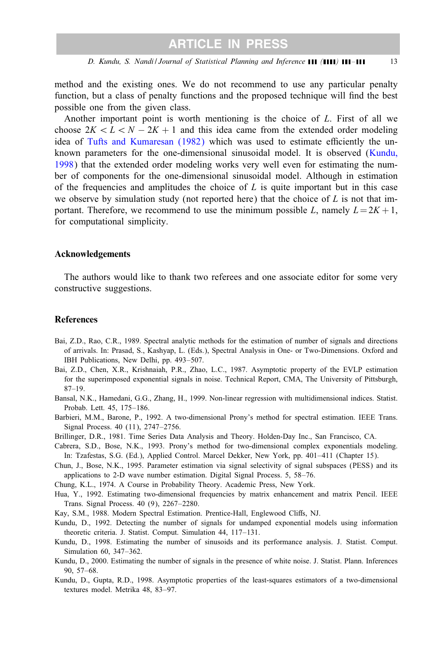<span id="page-12-0"></span>method and the existing ones. We do not recommend to use anyparticular penalty function, but a class of penalty functions and the proposed technique will find the best possible one from the given class.

Another important point is worth mentioning is the choice of L. First of all we choose  $2K < L < N - 2K + 1$  and this idea came from the extended order modeling idea of [Tufts and Kumaresan \(1982\)](#page-13-0) which was used to estimate efficiently the unknown parameters for the one-dimensional sinusoidal model. It is observed (Kundu, 1998) that the extended order modeling works verywell even for estimating the number of components for the one-dimensional sinusoidal model. Although in estimation of the frequencies and amplitudes the choice of  $L$  is quite important but in this case we observe by simulation study (not reported here) that the choice of  $L$  is not that important. Therefore, we recommend to use the minimum possible L, namely  $L = 2K + 1$ , for computational simplicity.

#### Acknowledgements

The authors would like to thank two referees and one associate editor for some very constructive suggestions.

#### References

- Bai, Z.D., Rao, C.R., 1989. Spectral analytic methods for the estimation of number of signals and directions of arrivals. In: Prasad, S., Kashyap, L. (Eds.), Spectral Analysis in One- or Two-Dimensions. Oxford and IBH Publications, New Delhi, pp. 493–507.
- Bai, Z.D., Chen, X.R., Krishnaiah, P.R., Zhao, L.C., 1987. Asymptotic property of the EVLP estimation for the superimposed exponential signals in noise. Technical Report, CMA, The Universityof Pittsburgh, 87–19.
- Bansal, N.K., Hamedani, G.G., Zhang, H., 1999. Non-linear regression with multidimensional indices. Statist. Probab. Lett. 45, 175–186.
- Barbieri, M.M., Barone, P., 1992. A two-dimensional Prony's method for spectral estimation. IEEE Trans. Signal Process. 40 (11), 2747–2756.
- Brillinger, D.R., 1981. Time Series Data Analysis and Theory. Holden-Day Inc., San Francisco, CA.
- Cabrera, S.D., Bose, N.K., 1993. Prony's method for two-dimensional complex exponentials modeling. In: Tzafestas, S.G. (Ed.), Applied Control. Marcel Dekker, New York, pp. 401–411 (Chapter 15).
- Chun, J., Bose, N.K., 1995. Parameter estimation via signal selectivityof signal subspaces (PESS) and its applications to 2-D wave number estimation. Digital Signal Process. 5, 58–76.
- Chung, K.L., 1974. A Course in Probability Theory. Academic Press, New York.
- Hua, Y., 1992. Estimating two-dimensional frequencies bymatrix enhancement and matrix Pencil. IEEE Trans. Signal Process. 40 (9), 2267–2280.
- Kay, S.M., 1988. Modern Spectral Estimation. Prentice-Hall, Englewood Cliffs, NJ.
- Kundu, D., 1992. Detecting the number of signals for undamped exponential models using information theoretic criteria. J. Statist. Comput. Simulation 44, 117–131.
- Kundu, D., 1998. Estimating the number of sinusoids and its performance analysis. J. Statist. Comput. Simulation 60, 347–362.
- Kundu, D., 2000. Estimating the number of signals in the presence of white noise. J. Statist. Plann. Inferences 90, 57–68.
- Kundu, D., Gupta, R.D., 1998. Asymptotic properties of the least-squares estimators of a two-dimensional textures model. Metrika 48, 83–97.